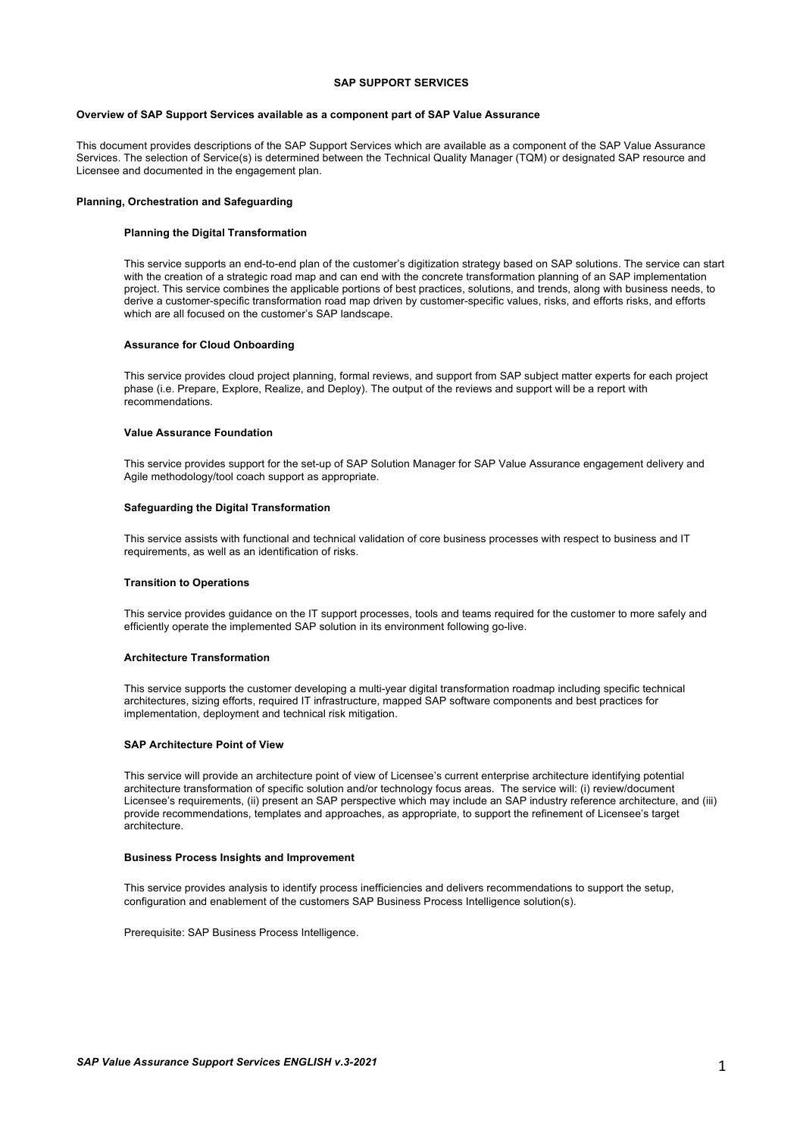# **SAP SUPPORT SERVICES**

# **Overview of SAP Support Services available as a component part of SAP Value Assurance**

This document provides descriptions of the SAP Support Services which are available as a component of the SAP Value Assurance Services. The selection of Service(s) is determined between the Technical Quality Manager (TQM) or designated SAP resource and Licensee and documented in the engagement plan.

## **Planning, Orchestration and Safeguarding**

#### **Planning the Digital Transformation**

This service supports an end-to-end plan of the customer's digitization strategy based on SAP solutions. The service can start with the creation of a strategic road map and can end with the concrete transformation planning of an SAP implementation project. This service combines the applicable portions of best practices, solutions, and trends, along with business needs, to derive a customer-specific transformation road map driven by customer-specific values, risks, and efforts risks, and efforts which are all focused on the customer's SAP landscape.

# **Assurance for Cloud Onboarding**

This service provides cloud project planning, formal reviews, and support from SAP subject matter experts for each project phase (i.e. Prepare, Explore, Realize, and Deploy). The output of the reviews and support will be a report with recommendations.

### **Value Assurance Foundation**

This service provides support for the set-up of SAP Solution Manager for SAP Value Assurance engagement delivery and Agile methodology/tool coach support as appropriate.

## **Safeguarding the Digital Transformation**

This service assists with functional and technical validation of core business processes with respect to business and IT requirements, as well as an identification of risks.

# **Transition to Operations**

This service provides guidance on the IT support processes, tools and teams required for the customer to more safely and efficiently operate the implemented SAP solution in its environment following go-live.

### **Architecture Transformation**

This service supports the customer developing a multi-year digital transformation roadmap including specific technical architectures, sizing efforts, required IT infrastructure, mapped SAP software components and best practices for implementation, deployment and technical risk mitigation.

#### **SAP Architecture Point of View**

This service will provide an architecture point of view of Licensee's current enterprise architecture identifying potential architecture transformation of specific solution and/or technology focus areas. The service will: (i) review/document Licensee's requirements, (ii) present an SAP perspective which may include an SAP industry reference architecture, and (iii) provide recommendations, templates and approaches, as appropriate, to support the refinement of Licensee's target architecture.

#### **Business Process Insights and Improvement**

This service provides analysis to identify process inefficiencies and delivers recommendations to support the setup, configuration and enablement of the customers SAP Business Process Intelligence solution(s).

Prerequisite: SAP Business Process Intelligence.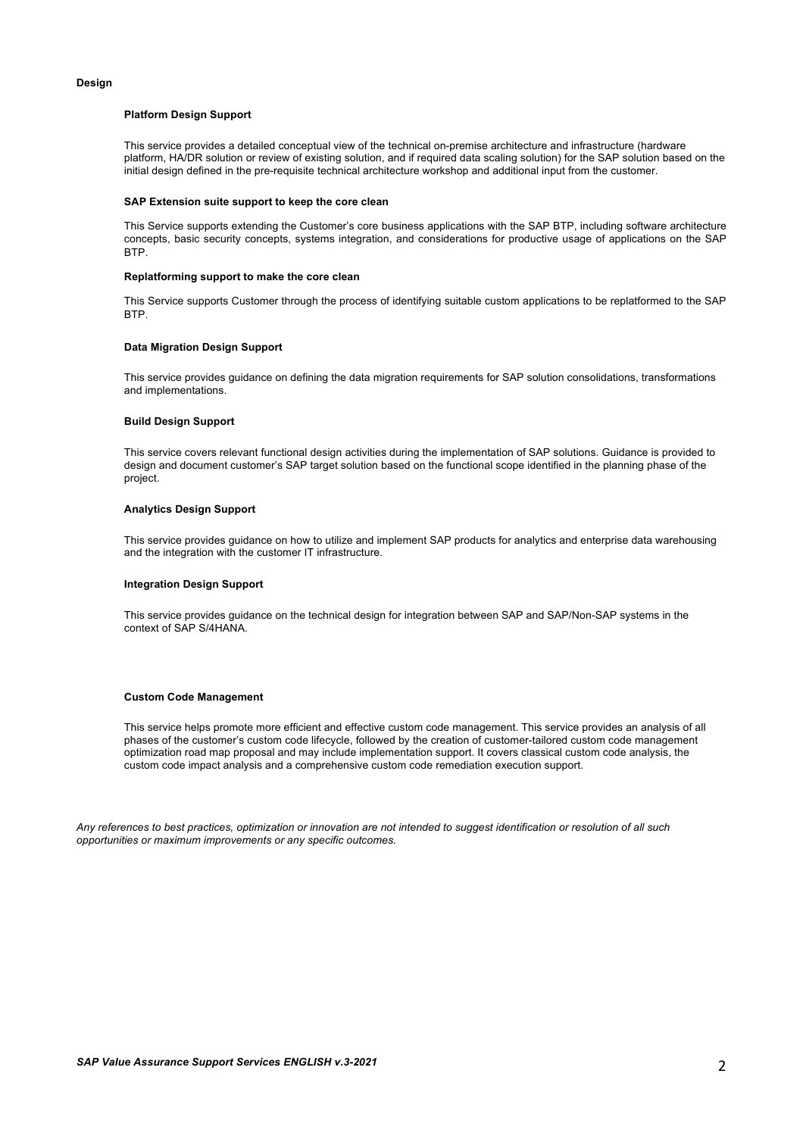# **Design**

## **Platform Design Support**

This service provides a detailed conceptual view of the technical on-premise architecture and infrastructure (hardware platform, HA/DR solution or review of existing solution, and if required data scaling solution) for the SAP solution based on the initial design defined in the pre-requisite technical architecture workshop and additional input from the customer.

#### **SAP Extension suite support to keep the core clean**

This Service supports extending the Customer's core business applications with the SAP BTP, including software architecture concepts, basic security concepts, systems integration, and considerations for productive usage of applications on the SAP BTP.

#### **Replatforming support to make the core clean**

This Service supports Customer through the process of identifying suitable custom applications to be replatformed to the SAP BTP.

### **Data Migration Design Support**

This service provides guidance on defining the data migration requirements for SAP solution consolidations, transformations and implementations.

### **Build Design Support**

This service covers relevant functional design activities during the implementation of SAP solutions. Guidance is provided to design and document customer's SAP target solution based on the functional scope identified in the planning phase of the project.

### **Analytics Design Support**

This service provides guidance on how to utilize and implement SAP products for analytics and enterprise data warehousing and the integration with the customer IT infrastructure.

# **Integration Design Support**

This service provides guidance on the technical design for integration between SAP and SAP/Non-SAP systems in the context of SAP S/4HANA.

### **Custom Code Management**

This service helps promote more efficient and effective custom code management. This service provides an analysis of all phases of the customer's custom code lifecycle, followed by the creation of customer-tailored custom code management optimization road map proposal and may include implementation support. It covers classical custom code analysis, the custom code impact analysis and a comprehensive custom code remediation execution support.

*Any references to best practices, optimization or innovation are not intended to suggest identification or resolution of all such opportunities or maximum improvements or any specific outcomes.*